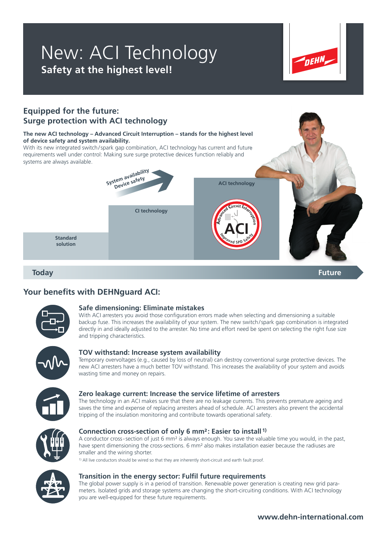## New: ACI Technology **Safety at the highest level!**



### **Equipped for the future: Surge protection with ACI technology**

### **The new ACI technology – Advanced Circuit Interruption – stands for the highest level of device safety and system availability.**

With its new integrated switch/spark gap combination, ACI technology has current and future requirements well under control: Making sure surge protective devices function reliably and systems are always available.



**Today Future**

### **Your benefits with DEHNguard ACI:**



### **Safe dimensioning: Eliminate mistakes**

With ACI arresters you avoid those configuration errors made when selecting and dimensioning a suitable backup fuse. This increases the availability of your system. The new switch / spark gap combination is integrated directly in and ideally adjusted to the arrester. No time and effort need be spent on selecting the right fuse size and tripping characteristics.



### **TOV withstand: Increase system availability**

Temporary overvoltages (e.g., caused by loss of neutral) can destroy conventional surge protective devices. The new ACI arresters have a much better TOV withstand. This increases the availability of your system and avoids wasting time and money on repairs.



### **Zero leakage current: Increase the service lifetime of arresters**

The technology in an ACI makes sure that there are no leakage currents. This prevents premature ageing and saves the time and expense of replacing arresters ahead of schedule. ACI arresters also prevent the accidental tripping of the insulation monitoring and contribute towards operational safety.



### **Connection cross-section of only 6 mm²: Easier to install 1)**

A conductor cross - section of just 6 mm² is always enough. You save the valuable time you would, in the past, have spent dimensioning the cross-sections. 6 mm<sup>2</sup> also makes installation easier because the radiuses are smaller and the wiring shorter.

1) All live conductors should be wired so that they are inherently short-circuit and earth fault proof.



### **Transition in the energy sector: Fulfil future requirements**

The global power supply is in a period of transition. Renewable power generation is creating new grid parameters. Isolated grids and storage systems are changing the short-circuiting conditions. With ACI technology you are well-equipped for these future requirements.